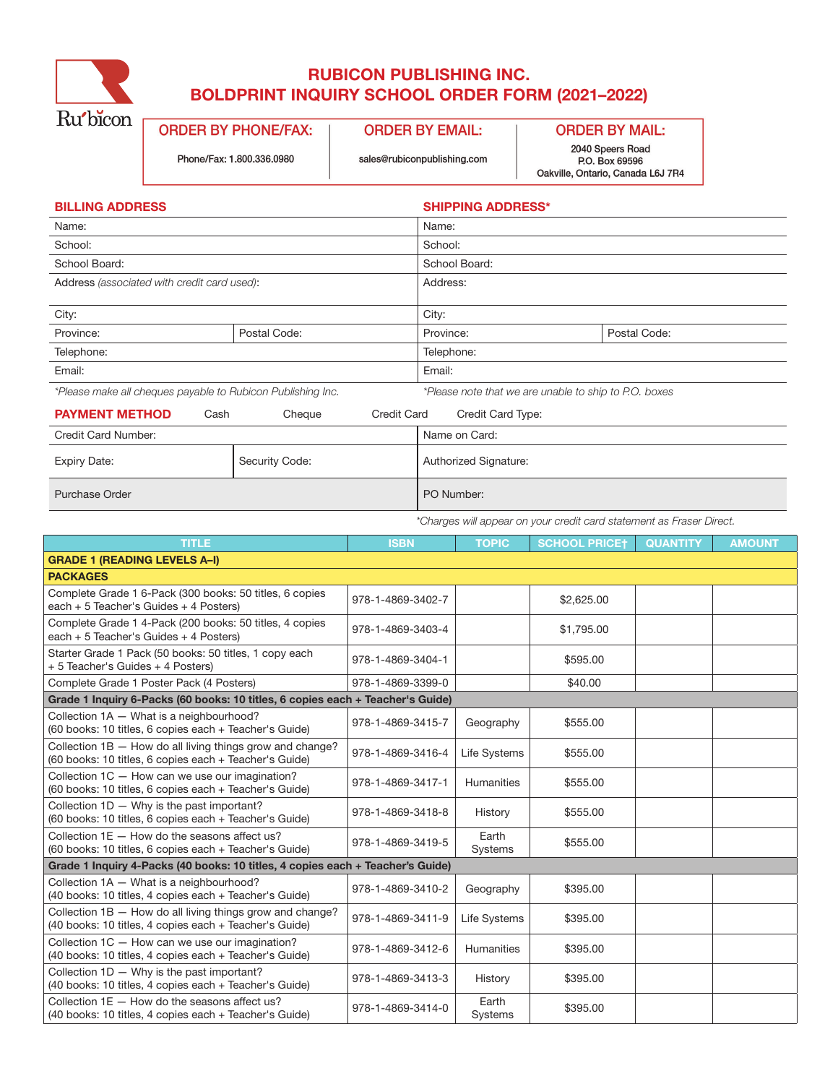

## RUBICON PUBLISHING INC. BOLDPRINT INQUIRY SCHOOL ORDER FORM (2021–2022)

**ORDER BY PHONE/FAX: ORDER BY EMAIL:** 

Phone/Fax: 1.800.336.0980

sales@rubiconpublishing.com

**ORDER BY MAIL:** 

2040 Speers Road P.O. Box 69596 Oakville, Ontario, Canada L6J 7R4

| <b>BILLING ADDRESS</b>                                      |                              | <b>SHIPPING ADDRESS*</b>                              |  |  |  |
|-------------------------------------------------------------|------------------------------|-------------------------------------------------------|--|--|--|
| Name:                                                       |                              | Name:                                                 |  |  |  |
| School:                                                     |                              | School:                                               |  |  |  |
| School Board:                                               |                              | School Board:                                         |  |  |  |
| Address (associated with credit card used):                 |                              | Address:                                              |  |  |  |
| City:                                                       |                              | City:                                                 |  |  |  |
| Province:                                                   | Postal Code:                 | Postal Code:<br>Province:                             |  |  |  |
| Telephone:                                                  |                              | Telephone:                                            |  |  |  |
| Email:                                                      |                              | Email:                                                |  |  |  |
| *Please make all cheques payable to Rubicon Publishing Inc. |                              | *Please note that we are unable to ship to P.O. boxes |  |  |  |
| <b>PAYMENT METHOD</b><br>Cash                               | <b>Credit Card</b><br>Cheque | Credit Card Type:                                     |  |  |  |
| Credit Card Number:                                         |                              | Name on Card:                                         |  |  |  |
| <b>Expiry Date:</b>                                         | Security Code:               | Authorized Signature:                                 |  |  |  |
| <b>Purchase Order</b>                                       |                              | PO Number:                                            |  |  |  |

*\*Charges will appear on your credit card statement as Fraser Direct.*

| <b>TITLE</b>                                                                                                        | <b>ISBN</b>       | <b>TOPIC</b>            | <b>SCHOOL PRICET</b> | <b>QUANTITY</b> | <b>AMOUNT</b> |
|---------------------------------------------------------------------------------------------------------------------|-------------------|-------------------------|----------------------|-----------------|---------------|
| <b>GRADE 1 (READING LEVELS A-I)</b>                                                                                 |                   |                         |                      |                 |               |
| <b>PACKAGES</b>                                                                                                     |                   |                         |                      |                 |               |
| Complete Grade 1 6-Pack (300 books: 50 titles, 6 copies<br>each + 5 Teacher's Guides + 4 Posters)                   | 978-1-4869-3402-7 |                         | \$2,625.00           |                 |               |
| Complete Grade 1 4-Pack (200 books: 50 titles, 4 copies<br>each $+5$ Teacher's Guides $+4$ Posters)                 | 978-1-4869-3403-4 |                         | \$1,795.00           |                 |               |
| Starter Grade 1 Pack (50 books: 50 titles, 1 copy each<br>+ 5 Teacher's Guides + 4 Posters)                         | 978-1-4869-3404-1 |                         | \$595.00             |                 |               |
| Complete Grade 1 Poster Pack (4 Posters)                                                                            | 978-1-4869-3399-0 |                         | \$40.00              |                 |               |
| Grade 1 Inquiry 6-Packs (60 books: 10 titles, 6 copies each + Teacher's Guide)                                      |                   |                         |                      |                 |               |
| Collection 1A - What is a neighbourhood?<br>(60 books: 10 titles, 6 copies each + Teacher's Guide)                  | 978-1-4869-3415-7 | Geography               | \$555.00             |                 |               |
| Collection 1B - How do all living things grow and change?<br>(60 books: 10 titles, 6 copies each + Teacher's Guide) | 978-1-4869-3416-4 | Life Systems            | \$555.00             |                 |               |
| Collection 1C - How can we use our imagination?<br>(60 books: 10 titles, 6 copies each + Teacher's Guide)           | 978-1-4869-3417-1 | <b>Humanities</b>       | \$555.00             |                 |               |
| Collection $1D - W$ hy is the past important?<br>(60 books: 10 titles, 6 copies each + Teacher's Guide)             | 978-1-4869-3418-8 | History                 | \$555.00             |                 |               |
| Collection $1E -$ How do the seasons affect us?<br>(60 books: 10 titles, 6 copies each + Teacher's Guide)           | 978-1-4869-3419-5 | Earth<br><b>Systems</b> | \$555.00             |                 |               |
| Grade 1 Inquiry 4-Packs (40 books: 10 titles, 4 copies each + Teacher's Guide)                                      |                   |                         |                      |                 |               |
| Collection 1A - What is a neighbourhood?<br>(40 books: 10 titles, 4 copies each + Teacher's Guide)                  | 978-1-4869-3410-2 | Geography               | \$395.00             |                 |               |
| Collection 1B - How do all living things grow and change?<br>(40 books: 10 titles, 4 copies each + Teacher's Guide) | 978-1-4869-3411-9 | Life Systems            | \$395.00             |                 |               |
| Collection 1C - How can we use our imagination?<br>(40 books: 10 titles, 4 copies each + Teacher's Guide)           | 978-1-4869-3412-6 | Humanities              | \$395.00             |                 |               |
| Collection $1D - W$ hy is the past important?<br>(40 books: 10 titles, 4 copies each + Teacher's Guide)             | 978-1-4869-3413-3 | History                 | \$395.00             |                 |               |
| Collection 1E - How do the seasons affect us?<br>(40 books: 10 titles, 4 copies each + Teacher's Guide)             | 978-1-4869-3414-0 | Earth<br>Systems        | \$395.00             |                 |               |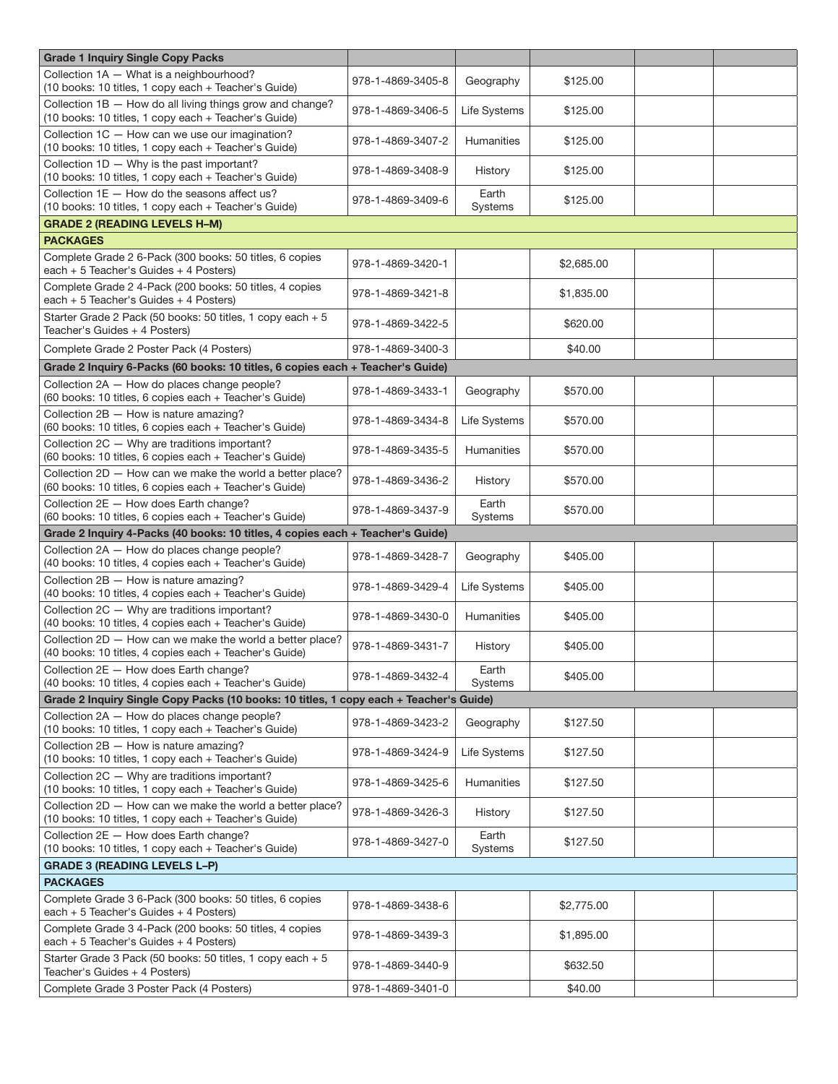| <b>Grade 1 Inquiry Single Copy Packs</b>                                                                                                |                   |                   |            |  |  |  |
|-----------------------------------------------------------------------------------------------------------------------------------------|-------------------|-------------------|------------|--|--|--|
| Collection 1A - What is a neighbourhood?<br>(10 books: 10 titles, 1 copy each + Teacher's Guide)                                        | 978-1-4869-3405-8 | Geography         | \$125.00   |  |  |  |
| Collection 1B - How do all living things grow and change?<br>(10 books: 10 titles, 1 copy each + Teacher's Guide)                       | 978-1-4869-3406-5 | Life Systems      | \$125.00   |  |  |  |
| Collection 1C - How can we use our imagination?<br>(10 books: 10 titles, 1 copy each + Teacher's Guide)                                 | 978-1-4869-3407-2 | <b>Humanities</b> | \$125.00   |  |  |  |
| Collection 1D - Why is the past important?<br>(10 books: 10 titles, 1 copy each + Teacher's Guide)                                      | 978-1-4869-3408-9 | History           | \$125.00   |  |  |  |
| Collection $1E -$ How do the seasons affect us?<br>(10 books: 10 titles, 1 copy each + Teacher's Guide)                                 | 978-1-4869-3409-6 | Earth<br>Systems  | \$125.00   |  |  |  |
| <b>GRADE 2 (READING LEVELS H-M)</b>                                                                                                     |                   |                   |            |  |  |  |
| <b>PACKAGES</b>                                                                                                                         |                   |                   |            |  |  |  |
| Complete Grade 2 6-Pack (300 books: 50 titles, 6 copies<br>each $+5$ Teacher's Guides $+4$ Posters)                                     | 978-1-4869-3420-1 |                   | \$2,685.00 |  |  |  |
| Complete Grade 2 4-Pack (200 books: 50 titles, 4 copies<br>each + 5 Teacher's Guides + 4 Posters)                                       | 978-1-4869-3421-8 |                   | \$1,835.00 |  |  |  |
| Starter Grade 2 Pack (50 books: 50 titles, 1 copy each + 5<br>Teacher's Guides + 4 Posters)                                             | 978-1-4869-3422-5 |                   | \$620.00   |  |  |  |
| Complete Grade 2 Poster Pack (4 Posters)                                                                                                | 978-1-4869-3400-3 |                   | \$40.00    |  |  |  |
| Grade 2 Inquiry 6-Packs (60 books: 10 titles, 6 copies each + Teacher's Guide)                                                          |                   |                   |            |  |  |  |
| Collection 2A - How do places change people?<br>(60 books: 10 titles, 6 copies each + Teacher's Guide)                                  | 978-1-4869-3433-1 | Geography         | \$570.00   |  |  |  |
| Collection 2B - How is nature amazing?<br>(60 books: 10 titles, 6 copies each + Teacher's Guide)                                        | 978-1-4869-3434-8 | Life Systems      | \$570.00   |  |  |  |
| Collection 2C - Why are traditions important?<br>(60 books: 10 titles, 6 copies each + Teacher's Guide)                                 | 978-1-4869-3435-5 | <b>Humanities</b> | \$570.00   |  |  |  |
| Collection 2D - How can we make the world a better place?<br>(60 books: 10 titles, 6 copies each + Teacher's Guide)                     | 978-1-4869-3436-2 | History           | \$570.00   |  |  |  |
| Collection 2E - How does Earth change?<br>(60 books: 10 titles, 6 copies each + Teacher's Guide)                                        | 978-1-4869-3437-9 | Earth<br>Systems  | \$570.00   |  |  |  |
| Grade 2 Inquiry 4-Packs (40 books: 10 titles, 4 copies each + Teacher's Guide)                                                          |                   |                   |            |  |  |  |
|                                                                                                                                         |                   |                   |            |  |  |  |
| Collection 2A - How do places change people?<br>(40 books: 10 titles, 4 copies each + Teacher's Guide)                                  | 978-1-4869-3428-7 | Geography         | \$405.00   |  |  |  |
| Collection 2B - How is nature amazing?<br>(40 books: 10 titles, 4 copies each + Teacher's Guide)                                        | 978-1-4869-3429-4 | Life Systems      | \$405.00   |  |  |  |
| Collection 2C - Why are traditions important?<br>(40 books: 10 titles, 4 copies each + Teacher's Guide)                                 | 978-1-4869-3430-0 | Humanities        | \$405.00   |  |  |  |
| Collection 2D - How can we make the world a better place?<br>(40 books: 10 titles, 4 copies each + Teacher's Guide)                     | 978-1-4869-3431-7 | History           | \$405.00   |  |  |  |
| Collection 2E - How does Earth change?<br>(40 books: 10 titles, 4 copies each + Teacher's Guide)                                        | 978-1-4869-3432-4 | Earth<br>Systems  | \$405.00   |  |  |  |
| Grade 2 Inquiry Single Copy Packs (10 books: 10 titles, 1 copy each + Teacher's Guide)                                                  |                   |                   |            |  |  |  |
| Collection 2A - How do places change people?<br>(10 books: 10 titles, 1 copy each + Teacher's Guide)                                    | 978-1-4869-3423-2 | Geography         | \$127.50   |  |  |  |
| Collection 2B - How is nature amazing?<br>(10 books: 10 titles, 1 copy each + Teacher's Guide)                                          | 978-1-4869-3424-9 | Life Systems      | \$127.50   |  |  |  |
| Collection 2C - Why are traditions important?<br>(10 books: 10 titles, 1 copy each + Teacher's Guide)                                   | 978-1-4869-3425-6 | Humanities        | \$127.50   |  |  |  |
| Collection 2D - How can we make the world a better place?<br>(10 books: 10 titles, 1 copy each + Teacher's Guide)                       | 978-1-4869-3426-3 | History           | \$127.50   |  |  |  |
| Collection 2E - How does Earth change?<br>(10 books: 10 titles, 1 copy each + Teacher's Guide)                                          | 978-1-4869-3427-0 | Earth<br>Systems  | \$127.50   |  |  |  |
| <b>GRADE 3 (READING LEVELS L-P)</b>                                                                                                     |                   |                   |            |  |  |  |
| <b>PACKAGES</b>                                                                                                                         |                   |                   |            |  |  |  |
| Complete Grade 3 6-Pack (300 books: 50 titles, 6 copies<br>each $+5$ Teacher's Guides $+4$ Posters)                                     | 978-1-4869-3438-6 |                   | \$2,775.00 |  |  |  |
| Complete Grade 3 4-Pack (200 books: 50 titles, 4 copies<br>each $+5$ Teacher's Guides $+4$ Posters)                                     | 978-1-4869-3439-3 |                   | \$1,895.00 |  |  |  |
| Starter Grade 3 Pack (50 books: 50 titles, 1 copy each + 5<br>Teacher's Guides + 4 Posters)<br>Complete Grade 3 Poster Pack (4 Posters) | 978-1-4869-3440-9 |                   | \$632.50   |  |  |  |